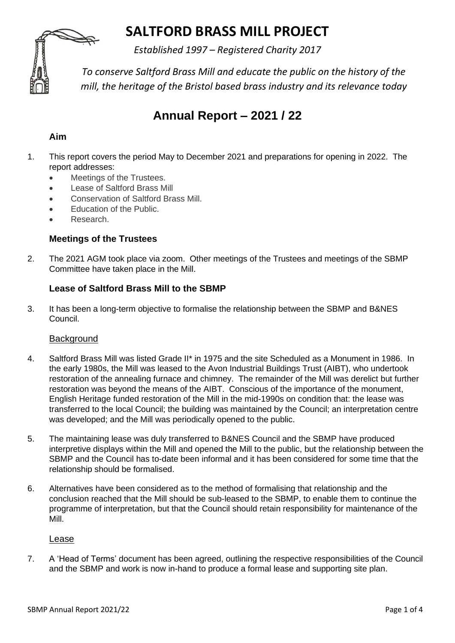# **SALTFORD BRASS MILL PROJECT**

*Established 1997 – Registered Charity 2017*



*To conserve Saltford Brass Mill and educate the public on the history of the mill, the heritage of the Bristol based brass industry and its relevance today*

## **Annual Report – 2021 / 22**

## **Aim**

- 1. This report covers the period May to December 2021 and preparations for opening in 2022. The report addresses:
	- Meetings of the Trustees.
	- Lease of Saltford Brass Mill
	- Conservation of Saltford Brass Mill.
	- Education of the Public.
	- Research.

## **Meetings of the Trustees**

2. The 2021 AGM took place via zoom. Other meetings of the Trustees and meetings of the SBMP Committee have taken place in the Mill.

## **Lease of Saltford Brass Mill to the SBMP**

3. It has been a long-term objective to formalise the relationship between the SBMP and B&NES Council.

#### **Background**

- 4. Saltford Brass Mill was listed Grade II\* in 1975 and the site Scheduled as a Monument in 1986. In the early 1980s, the Mill was leased to the Avon Industrial Buildings Trust (AIBT), who undertook restoration of the annealing furnace and chimney. The remainder of the Mill was derelict but further restoration was beyond the means of the AIBT. Conscious of the importance of the monument, English Heritage funded restoration of the Mill in the mid-1990s on condition that: the lease was transferred to the local Council; the building was maintained by the Council; an interpretation centre was developed; and the Mill was periodically opened to the public.
- 5. The maintaining lease was duly transferred to B&NES Council and the SBMP have produced interpretive displays within the Mill and opened the Mill to the public, but the relationship between the SBMP and the Council has to-date been informal and it has been considered for some time that the relationship should be formalised.
- 6. Alternatives have been considered as to the method of formalising that relationship and the conclusion reached that the Mill should be sub-leased to the SBMP, to enable them to continue the programme of interpretation, but that the Council should retain responsibility for maintenance of the Mill.

Lease

7. A 'Head of Terms' document has been agreed, outlining the respective responsibilities of the Council and the SBMP and work is now in-hand to produce a formal lease and supporting site plan.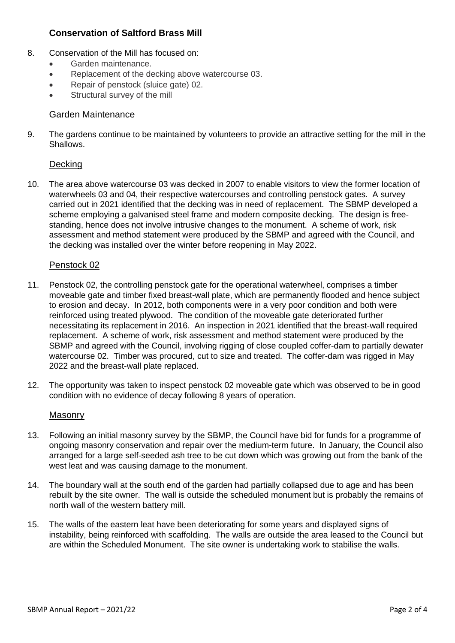### **Conservation of Saltford Brass Mill**

- 8. Conservation of the Mill has focused on:
	- Garden maintenance.
	- Replacement of the decking above watercourse 03.
	- Repair of penstock (sluice gate) 02.
	- Structural survey of the mill

#### Garden Maintenance

9. The gardens continue to be maintained by volunteers to provide an attractive setting for the mill in the Shallows.

#### **Decking**

10. The area above watercourse 03 was decked in 2007 to enable visitors to view the former location of waterwheels 03 and 04, their respective watercourses and controlling penstock gates. A survey carried out in 2021 identified that the decking was in need of replacement. The SBMP developed a scheme employing a galvanised steel frame and modern composite decking. The design is freestanding, hence does not involve intrusive changes to the monument. A scheme of work, risk assessment and method statement were produced by the SBMP and agreed with the Council, and the decking was installed over the winter before reopening in May 2022.

#### Penstock 02

- 11. Penstock 02, the controlling penstock gate for the operational waterwheel, comprises a timber moveable gate and timber fixed breast-wall plate, which are permanently flooded and hence subject to erosion and decay. In 2012, both components were in a very poor condition and both were reinforced using treated plywood. The condition of the moveable gate deteriorated further necessitating its replacement in 2016. An inspection in 2021 identified that the breast-wall required replacement. A scheme of work, risk assessment and method statement were produced by the SBMP and agreed with the Council, involving rigging of close coupled coffer-dam to partially dewater watercourse 02. Timber was procured, cut to size and treated. The coffer-dam was rigged in May 2022 and the breast-wall plate replaced.
- 12. The opportunity was taken to inspect penstock 02 moveable gate which was observed to be in good condition with no evidence of decay following 8 years of operation.

#### Masonry

- 13. Following an initial masonry survey by the SBMP, the Council have bid for funds for a programme of ongoing masonry conservation and repair over the medium-term future. In January, the Council also arranged for a large self-seeded ash tree to be cut down which was growing out from the bank of the west leat and was causing damage to the monument.
- 14. The boundary wall at the south end of the garden had partially collapsed due to age and has been rebuilt by the site owner. The wall is outside the scheduled monument but is probably the remains of north wall of the western battery mill.
- 15. The walls of the eastern leat have been deteriorating for some years and displayed signs of instability, being reinforced with scaffolding. The walls are outside the area leased to the Council but are within the Scheduled Monument. The site owner is undertaking work to stabilise the walls.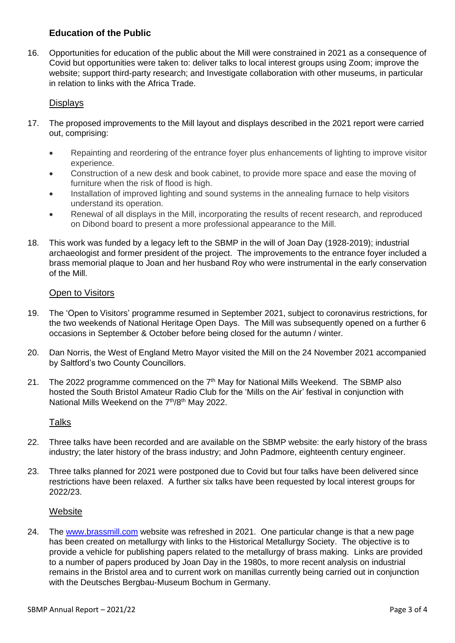## **Education of the Public**

16. Opportunities for education of the public about the Mill were constrained in 2021 as a consequence of Covid but opportunities were taken to: deliver talks to local interest groups using Zoom; improve the website; support third-party research; and Investigate collaboration with other museums, in particular in relation to links with the Africa Trade.

#### **Displays**

- 17. The proposed improvements to the Mill layout and displays described in the 2021 report were carried out, comprising:
	- Repainting and reordering of the entrance foyer plus enhancements of lighting to improve visitor experience.
	- Construction of a new desk and book cabinet, to provide more space and ease the moving of furniture when the risk of flood is high.
	- Installation of improved lighting and sound systems in the annealing furnace to help visitors understand its operation.
	- Renewal of all displays in the Mill, incorporating the results of recent research, and reproduced on Dibond board to present a more professional appearance to the Mill.
- 18. This work was funded by a legacy left to the SBMP in the will of Joan Day (1928-2019); industrial archaeologist and former president of the project. The improvements to the entrance foyer included a brass memorial plaque to Joan and her husband Roy who were instrumental in the early conservation of the Mill.

#### Open to Visitors

- 19. The 'Open to Visitors' programme resumed in September 2021, subject to coronavirus restrictions, for the two weekends of National Heritage Open Days. The Mill was subsequently opened on a further 6 occasions in September & October before being closed for the autumn / winter.
- 20. Dan Norris, the West of England Metro Mayor visited the Mill on the 24 November 2021 accompanied by Saltford's two County Councillors.
- 21. The 2022 programme commenced on the 7<sup>th</sup> May for National Mills Weekend. The SBMP also hosted the South Bristol Amateur Radio Club for the 'Mills on the Air' festival in conjunction with National Mills Weekend on the 7<sup>th</sup>/8<sup>th</sup> May 2022.

#### **Talks**

- 22. Three talks have been recorded and are available on the SBMP website: the early history of the brass industry; the later history of the brass industry; and John Padmore, eighteenth century engineer.
- 23. Three talks planned for 2021 were postponed due to Covid but four talks have been delivered since restrictions have been relaxed. A further six talks have been requested by local interest groups for 2022/23.

#### Website

24. The [www.brassmill.com](http://www.brassmill.com/) website was refreshed in 2021. One particular change is that a new page has been created on metallurgy with links to the Historical Metallurgy Society. The objective is to provide a vehicle for publishing papers related to the metallurgy of brass making. Links are provided to a number of papers produced by Joan Day in the 1980s, to more recent analysis on industrial remains in the Bristol area and to current work on manillas currently being carried out in conjunction with the Deutsches Bergbau-Museum Bochum in Germany.